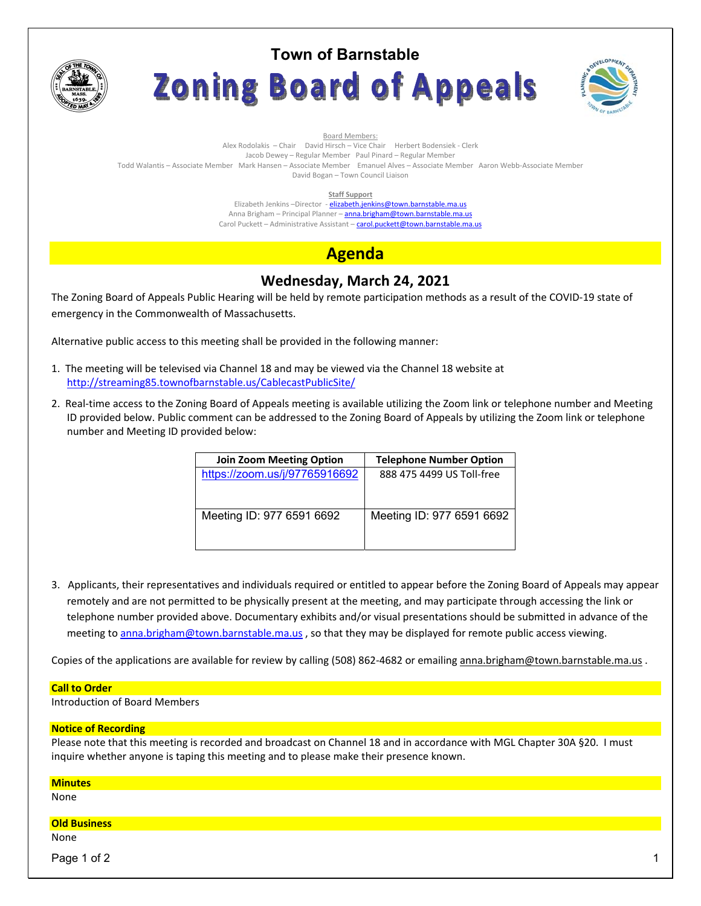

# **Town of Barnstable** Zoning Board of Appeals



Board Members: Alex Rodolakis – Chair David Hirsch – Vice Chair Herbert Bodensiek - Clerk Jacob Dewey – Regular Member Paul Pinard – Regular Member Todd Walantis – Associate Member Mark Hansen – Associate Member Emanuel Alves – Associate Member Aaron Webb-Associate Member David Bogan – Town Council Liaison

#### **Staff Support**

Elizabeth Jenkins -Director - elizabeth.jenkins@town.barnstable.ma.us Anna Brigham - Principal Planner - anna.brigham@town.barnstable.ma.us Carol Puckett – Administrative Assistant – carol.puckett@town.barnstable.ma.us

# **Agenda**

## **Wednesday, March 24, 2021**

The Zoning Board of Appeals Public Hearing will be held by remote participation methods as a result of the COVID-19 state of emergency in the Commonwealth of Massachusetts.

Alternative public access to this meeting shall be provided in the following manner:

- 1. The meeting will be televised via Channel 18 and may be viewed via the Channel 18 website at http://streaming85.townofbarnstable.us/CablecastPublicSite/
- 2. Real-time access to the Zoning Board of Appeals meeting is available utilizing the Zoom link or telephone number and Meeting ID provided below. Public comment can be addressed to the Zoning Board of Appeals by utilizing the Zoom link or telephone number and Meeting ID provided below:

| <b>Join Zoom Meeting Option</b> | <b>Telephone Number Option</b> |
|---------------------------------|--------------------------------|
| https://zoom.us/j/97765916692   | 888 475 4499 US Toll-free      |
|                                 |                                |
|                                 |                                |
| Meeting ID: 977 6591 6692       | Meeting ID: 977 6591 6692      |
|                                 |                                |
|                                 |                                |

3. Applicants, their representatives and individuals required or entitled to appear before the Zoning Board of Appeals may appear remotely and are not permitted to be physically present at the meeting, and may participate through accessing the link or telephone number provided above. Documentary exhibits and/or visual presentations should be submitted in advance of the meeting to anna.brigham@town.barnstable.ma.us, so that they may be displayed for remote public access viewing.

Copies of the applications are available for review by calling (508) 862-4682 or emailing anna.brigham@town.barnstable.ma.us .

#### **Call to Order**

Introduction of Board Members

## **Notice of Recording**

Please note that this meeting is recorded and broadcast on Channel 18 and in accordance with MGL Chapter 30A §20. I must inquire whether anyone is taping this meeting and to please make their presence known.

| <b>Minutes</b>      |  |
|---------------------|--|
| None                |  |
|                     |  |
| <b>Old Business</b> |  |
| None                |  |
| Page 1 of 2         |  |